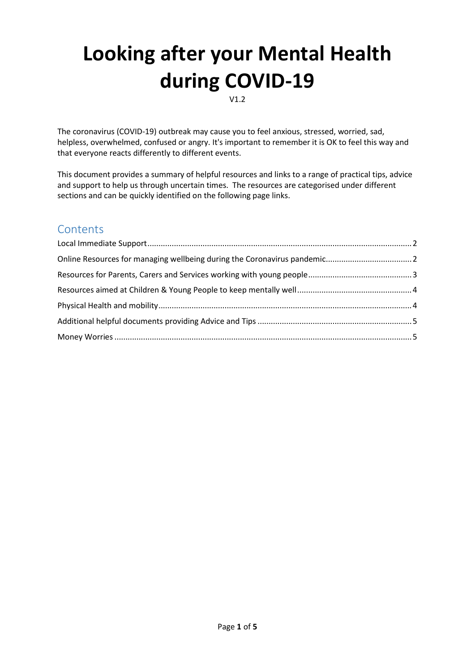# **Looking after your Mental Health during COVID-19**

V1.2

The coronavirus (COVID-19) outbreak may cause you to feel anxious, stressed, worried, sad, helpless, overwhelmed, confused or angry. It's important to remember it is OK to feel this way and that everyone reacts differently to different events.

This document provides a summary of helpful resources and links to a range of practical tips, advice and support to help us through uncertain times. The resources are categorised under different sections and can be quickly identified on the following page links.

## **Contents**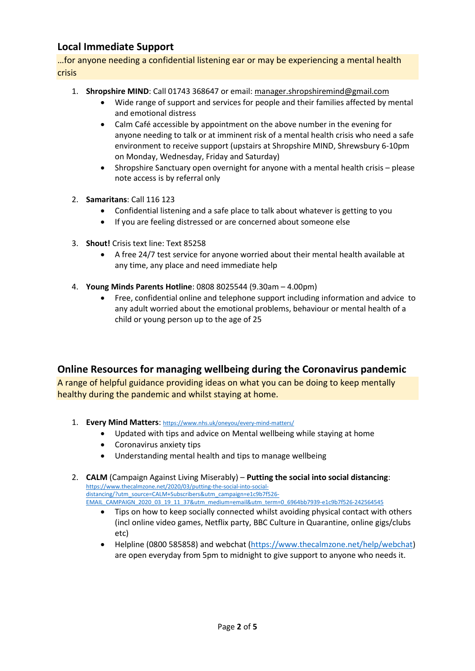## <span id="page-1-0"></span>**Local Immediate Support**

…for anyone needing a confidential listening ear or may be experiencing a mental health crisis

- 1. **Shropshire MIND**: Call 01743 368647 or email: [manager.shropshiremind@gmail.com](mailto:manager.shropshiremind@gmail.com)
	- Wide range of support and services for people and their families affected by mental and emotional distress
	- Calm Café accessible by appointment on the above number in the evening for anyone needing to talk or at imminent risk of a mental health crisis who need a safe environment to receive support (upstairs at Shropshire MIND, Shrewsbury 6-10pm on Monday, Wednesday, Friday and Saturday)
	- Shropshire Sanctuary open overnight for anyone with a mental health crisis please note access is by referral only
- 2. **Samaritans**: Call 116 123
	- Confidential listening and a safe place to talk about whatever is getting to you
	- If you are feeling distressed or are concerned about someone else
- 3. **Shout!** Crisis text line: Text 85258
	- A free 24/7 test service for anyone worried about their mental health available at any time, any place and need immediate help
- 4. **Young Minds Parents Hotline**: 0808 8025544 (9.30am 4.00pm)
	- Free, confidential online and telephone support including information and advice to any adult worried about the emotional problems, behaviour or mental health of a child or young person up to the age of 25

### <span id="page-1-1"></span>**Online Resources for managing wellbeing during the Coronavirus pandemic**

A range of helpful guidance providing ideas on what you can be doing to keep mentally healthy during the pandemic and whilst staying at home.

- 1. **Every Mind Matters**: <https://www.nhs.uk/oneyou/every-mind-matters/>
	- Updated with tips and advice on Mental wellbeing while staying at home
	- Coronavirus anxiety tips
	- Understanding mental health and tips to manage wellbeing

2. **CALM** (Campaign Against Living Miserably) – **Putting the social into social distancing**: [https://www.thecalmzone.net/2020/03/putting-the-social-into-social](https://www.thecalmzone.net/2020/03/putting-the-social-into-social-distancing/?utm_source=CALM+Subscribers&utm_campaign=e1c9b7f526-EMAIL_CAMPAIGN_2020_03_19_11_37&utm_medium=email&utm_term=0_6964bb7939-e1c9b7f526-242564545)[distancing/?utm\\_source=CALM+Subscribers&utm\\_campaign=e1c9b7f526-](https://www.thecalmzone.net/2020/03/putting-the-social-into-social-distancing/?utm_source=CALM+Subscribers&utm_campaign=e1c9b7f526-EMAIL_CAMPAIGN_2020_03_19_11_37&utm_medium=email&utm_term=0_6964bb7939-e1c9b7f526-242564545) [EMAIL\\_CAMPAIGN\\_2020\\_03\\_19\\_11\\_37&utm\\_medium=email&utm\\_term=0\\_6964bb7939-e1c9b7f526-242564545](https://www.thecalmzone.net/2020/03/putting-the-social-into-social-distancing/?utm_source=CALM+Subscribers&utm_campaign=e1c9b7f526-EMAIL_CAMPAIGN_2020_03_19_11_37&utm_medium=email&utm_term=0_6964bb7939-e1c9b7f526-242564545)

- Tips on how to keep socially connected whilst avoiding physical contact with others (incl online video games, Netflix party, BBC Culture in Quarantine, online gigs/clubs etc)
- Helpline (0800 585858) and webchat [\(https://www.thecalmzone.net/help/webchat\)](https://www.thecalmzone.net/help/webchat) are open everyday from 5pm to midnight to give support to anyone who needs it.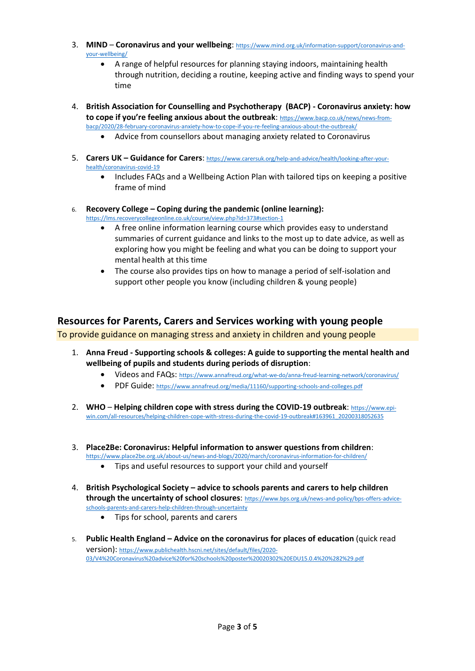- 3. **MIND Coronavirus and your wellbeing**: [https://www.mind.org.uk/information-support/coronavirus-and](https://www.mind.org.uk/information-support/coronavirus-and-your-wellbeing/)[your-wellbeing/](https://www.mind.org.uk/information-support/coronavirus-and-your-wellbeing/)
	- A range of helpful resources for planning staying indoors, maintaining health through nutrition, deciding a routine, keeping active and finding ways to spend your time
- 4. **British Association for Counselling and Psychotherapy (BACP) - Coronavirus anxiety: how to cope if you're feeling anxious about the outbreak**: [https://www.bacp.co.uk/news/news-from](https://www.bacp.co.uk/news/news-from-bacp/2020/28-february-coronavirus-anxiety-how-to-cope-if-you-re-feeling-anxious-about-the-outbreak/)[bacp/2020/28-february-coronavirus-anxiety-how-to-cope-if-you-re-feeling-anxious-about-the-outbreak/](https://www.bacp.co.uk/news/news-from-bacp/2020/28-february-coronavirus-anxiety-how-to-cope-if-you-re-feeling-anxious-about-the-outbreak/)
	- Advice from counsellors about managing anxiety related to Coronavirus
- 5. **Carers UK – Guidance for Carers**: [https://www.carersuk.org/help-and-advice/health/looking-after-your](https://www.carersuk.org/help-and-advice/health/looking-after-your-health/coronavirus-covid-19)[health/coronavirus-covid-19](https://www.carersuk.org/help-and-advice/health/looking-after-your-health/coronavirus-covid-19)
	- Includes FAQs and a Wellbeing Action Plan with tailored tips on keeping a positive frame of mind
- 6. **Recovery College – Coping during the pandemic (online learning):** <https://lms.recoverycollegeonline.co.uk/course/view.php?id=373#section-1>
	- A free online information learning course which provides easy to understand summaries of current guidance and links to the most up to date advice, as well as exploring how you might be feeling and what you can be doing to support your mental health at this time
	- The course also provides tips on how to manage a period of self-isolation and support other people you know (including children & young people)

## <span id="page-2-0"></span>**Resources for Parents, Carers and Services working with young people**

To provide guidance on managing stress and anxiety in children and young people

- 1. **Anna Freud - Supporting schools & colleges: A guide to supporting the mental health and wellbeing of pupils and students during periods of disruption**:
	- Videos and FAQs: <https://www.annafreud.org/what-we-do/anna-freud-learning-network/coronavirus/>
	- PDF Guide: <https://www.annafreud.org/media/11160/supporting-schools-and-colleges.pdf>
- 2. **WHO Helping children cope with stress during the COVID-19 outbreak**: [https://www.epi](https://www.epi-win.com/all-resources/helping-children-cope-with-stress-during-the-covid-19-outbreak#163961_20200318052635)[win.com/all-resources/helping-children-cope-with-stress-during-the-covid-19-outbreak#163961\\_20200318052635](https://www.epi-win.com/all-resources/helping-children-cope-with-stress-during-the-covid-19-outbreak#163961_20200318052635)
- 3. **Place2Be: Coronavirus: Helpful information to answer questions from children**: <https://www.place2be.org.uk/about-us/news-and-blogs/2020/march/coronavirus-information-for-children/>
	- Tips and useful resources to support your child and yourself
- 4. **British Psychological Society – advice to schools parents and carers to help children through the uncertainty of school closures**: [https://www.bps.org.uk/news-and-policy/bps-offers-advice](https://www.bps.org.uk/news-and-policy/bps-offers-advice-schools-parents-and-carers-help-children-through-uncertainty)[schools-parents-and-carers-help-children-through-uncertainty](https://www.bps.org.uk/news-and-policy/bps-offers-advice-schools-parents-and-carers-help-children-through-uncertainty)
	- Tips for school, parents and carers
- 5. **Public Health England – Advice on the coronavirus for places of education** (quick read version): [https://www.publichealth.hscni.net/sites/default/files/2020-](https://www.publichealth.hscni.net/sites/default/files/2020-03/V4%20Coronavirus%20advice%20for%20schools%20poster%20020302%20EDU15.0.4%20%282%29.pdf) [03/V4%20Coronavirus%20advice%20for%20schools%20poster%20020302%20EDU15.0.4%20%282%29.pdf](https://www.publichealth.hscni.net/sites/default/files/2020-03/V4%20Coronavirus%20advice%20for%20schools%20poster%20020302%20EDU15.0.4%20%282%29.pdf)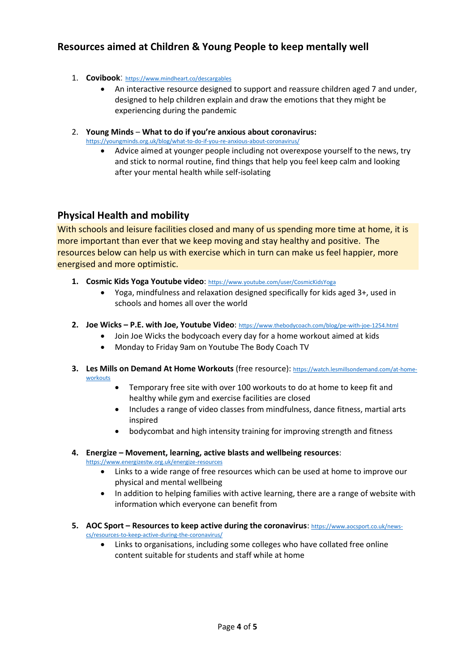## <span id="page-3-0"></span>**Resources aimed at Children & Young People to keep mentally well**

- 1. **Covibook**: <https://www.mindheart.co/descargables>
	- An interactive resource designed to support and reassure children aged 7 and under, designed to help children explain and draw the emotions that they might be experiencing during the pandemic

#### 2. **Young Minds** – **What to do if you're anxious about coronavirus:**

<https://youngminds.org.uk/blog/what-to-do-if-you-re-anxious-about-coronavirus/>

 Advice aimed at younger people including not overexpose yourself to the news, try and stick to normal routine, find things that help you feel keep calm and looking after your mental health while self-isolating

#### <span id="page-3-1"></span>**Physical Health and mobility**

With schools and leisure facilities closed and many of us spending more time at home, it is more important than ever that we keep moving and stay healthy and positive. The resources below can help us with exercise which in turn can make us feel happier, more energised and more optimistic.

- **1. Cosmic Kids Yoga Youtube video**: <https://www.youtube.com/user/CosmicKidsYoga>
	- Yoga, mindfulness and relaxation designed specifically for kids aged 3+, used in schools and homes all over the world
- **2. Joe Wicks – P.E. with Joe, Youtube Video**: <https://www.thebodycoach.com/blog/pe-with-joe-1254.html>
	- Join Joe Wicks the bodycoach every day for a home workout aimed at kids
	- Monday to Friday 9am on Youtube The Body Coach TV
- **3. Les Mills on Demand At Home Workouts** (free resource): [https://watch.lesmillsondemand.com/at-home](https://watch.lesmillsondemand.com/at-home-workouts)**[workouts](https://watch.lesmillsondemand.com/at-home-workouts)** 
	- Temporary free site with over 100 workouts to do at home to keep fit and healthy while gym and exercise facilities are closed
	- Includes a range of video classes from mindfulness, dance fitness, martial arts inspired
	- bodycombat and high intensity training for improving strength and fitness

#### **4. Energize – Movement, learning, active blasts and wellbeing resources**: <https://www.energizestw.org.uk/energize-resources>

- Links to a wide range of free resources which can be used at home to improve our physical and mental wellbeing
- In addition to helping families with active learning, there are a range of website with information which everyone can benefit from
- **5. AOC Sport – Resources to keep active during the coronavirus**: [https://www.aocsport.co.uk/news](https://www.aocsport.co.uk/news-cs/resources-to-keep-active-during-the-coronavirus/)[cs/resources-to-keep-active-during-the-coronavirus/](https://www.aocsport.co.uk/news-cs/resources-to-keep-active-during-the-coronavirus/)
	- Links to organisations, including some colleges who have collated free online content suitable for students and staff while at home